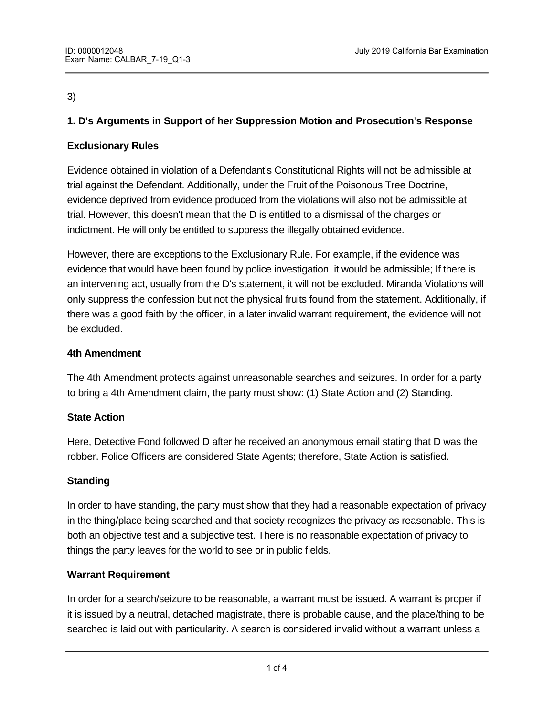# 3)

# **1. D's Arguments in Support of her Suppression Motion and Prosecution's Response**

# **Exclusionary Rules**

Evidence obtained in violation of a Defendant's Constitutional Rights will not be admissible at trial against the Defendant. Additionally, under the Fruit of the Poisonous Tree Doctrine, evidence deprived from evidence produced from the violations will also not be admissible at trial. However, this doesn't mean that the D is entitled to a dismissal of the charges or indictment. He will only be entitled to suppress the illegally obtained evidence.

However, there are exceptions to the Exclusionary Rule. For example, if the evidence was evidence that would have been found by police investigation, it would be admissible; If there is an intervening act, usually from the D's statement, it will not be excluded. Miranda Violations will only suppress the confession but not the physical fruits found from the statement. Additionally, if there was a good faith by the officer, in a later invalid warrant requirement, the evidence will not be excluded.

# **4th Amendment**

The 4th Amendment protects against unreasonable searches and seizures. In order for a party to bring a 4th Amendment claim, the party must show: (1) State Action and (2) Standing.

# **State Action**

Here, Detective Fond followed D after he received an anonymous email stating that D was the robber. Police Officers are considered State Agents; therefore, State Action is satisfied.

# **Standing**

In order to have standing, the party must show that they had a reasonable expectation of privacy in the thing/place being searched and that society recognizes the privacy as reasonable. This is both an objective test and a subjective test. There is no reasonable expectation of privacy to things the party leaves for the world to see or in public fields.

# **Warrant Requirement**

In order for a search/seizure to be reasonable, a warrant must be issued. A warrant is proper if it is issued by a neutral, detached magistrate, there is probable cause, and the place/thing to be searched is laid out with particularity. A search is considered invalid without a warrant unless a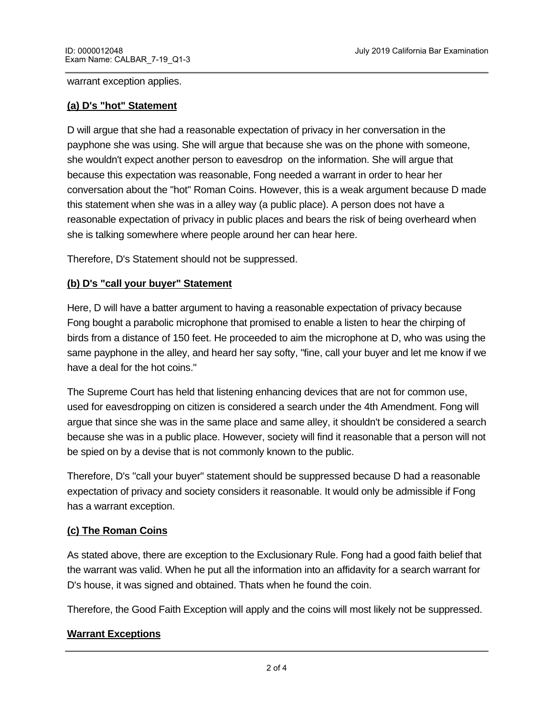#### warrant exception applies.

#### **(a) D's "hot" Statement**

D will argue that she had a reasonable expectation of privacy in her conversation in the payphone she was using. She will argue that because she was on the phone with someone, she wouldn't expect another person to eavesdrop on the information. She will argue that because this expectation was reasonable, Fong needed a warrant in order to hear her conversation about the "hot" Roman Coins. However, this is a weak argument because D made this statement when she was in a alley way (a public place). A person does not have a reasonable expectation of privacy in public places and bears the risk of being overheard when she is talking somewhere where people around her can hear here.

Therefore, D's Statement should not be suppressed.

# **(b) D's "call your buyer" Statement**

Here, D will have a batter argument to having a reasonable expectation of privacy because Fong bought a parabolic microphone that promised to enable a listen to hear the chirping of birds from a distance of 150 feet. He proceeded to aim the microphone at D, who was using the same payphone in the alley, and heard her say softy, "fine, call your buyer and let me know if we have a deal for the hot coins."

The Supreme Court has held that listening enhancing devices that are not for common use, used for eavesdropping on citizen is considered a search under the 4th Amendment. Fong will argue that since she was in the same place and same alley, it shouldn't be considered a search because she was in a public place. However, society will find it reasonable that a person will not be spied on by a devise that is not commonly known to the public.

Therefore, D's "call your buyer" statement should be suppressed because D had a reasonable expectation of privacy and society considers it reasonable. It would only be admissible if Fong has a warrant exception.

# **(c) The Roman Coins**

As stated above, there are exception to the Exclusionary Rule. Fong had a good faith belief that the warrant was valid. When he put all the information into an affidavity for a search warrant for D's house, it was signed and obtained. Thats when he found the coin.

Therefore, the Good Faith Exception will apply and the coins will most likely not be suppressed.

# **Warrant Exceptions**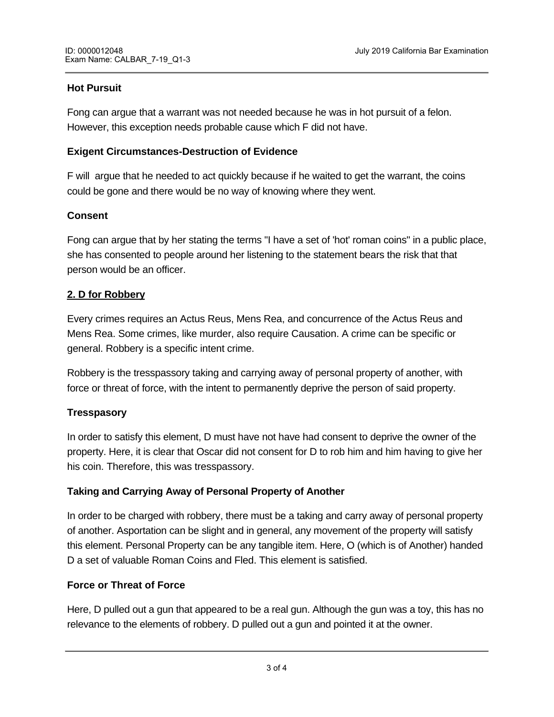# **Hot Pursuit**

Fong can argue that a warrant was not needed because he was in hot pursuit of a felon. However, this exception needs probable cause which F did not have.

#### **Exigent Circumstances-Destruction of Evidence**

F will argue that he needed to act quickly because if he waited to get the warrant, the coins could be gone and there would be no way of knowing where they went.

#### **Consent**

Fong can argue that by her stating the terms "I have a set of 'hot' roman coins" in a public place, she has consented to people around her listening to the statement bears the risk that that person would be an officer.

#### **2. D for Robbery**

Every crimes requires an Actus Reus, Mens Rea, and concurrence of the Actus Reus and Mens Rea. Some crimes, like murder, also require Causation. A crime can be specific or general. Robbery is a specific intent crime.

Robbery is the tresspassory taking and carrying away of personal property of another, with force or threat of force, with the intent to permanently deprive the person of said property.

# **Tresspasory**

In order to satisfy this element, D must have not have had consent to deprive the owner of the property. Here, it is clear that Oscar did not consent for D to rob him and him having to give her his coin. Therefore, this was tresspassory.

#### **Taking and Carrying Away of Personal Property of Another**

In order to be charged with robbery, there must be a taking and carry away of personal property of another. Asportation can be slight and in general, any movement of the property will satisfy this element. Personal Property can be any tangible item. Here, O (which is of Another) handed D a set of valuable Roman Coins and Fled. This element is satisfied.

#### **Force or Threat of Force**

**Intent to Permanently Deprive**

Here, D pulled out a gun that appeared to be a real gun. Although the gun was a toy, this has no relevance to the elements of robbery. D pulled out a gun and pointed it at the owner.